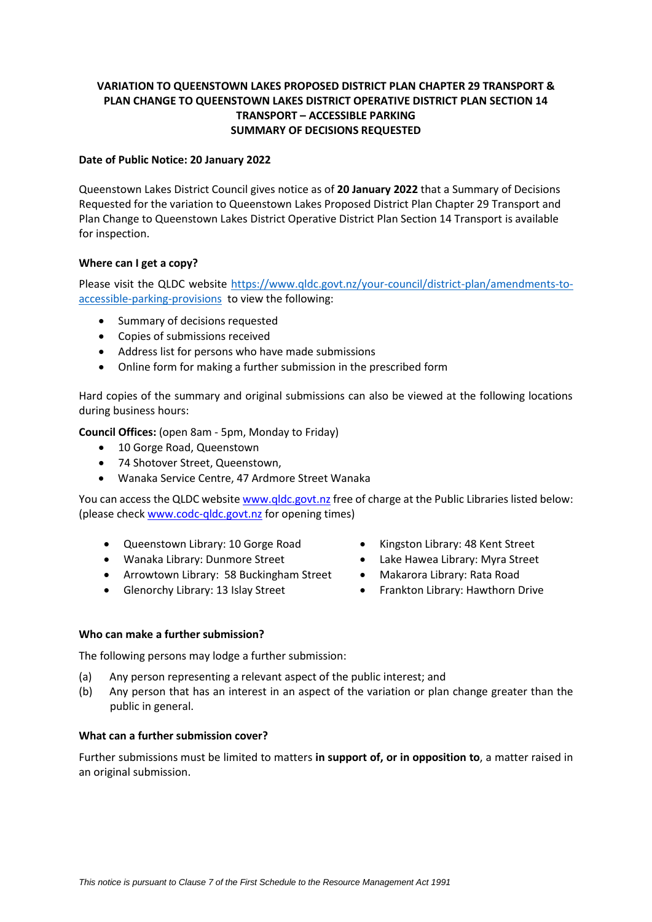# **VARIATION TO QUEENSTOWN LAKES PROPOSED DISTRICT PLAN CHAPTER 29 TRANSPORT & PLAN CHANGE TO QUEENSTOWN LAKES DISTRICT OPERATIVE DISTRICT PLAN SECTION 14 TRANSPORT – ACCESSIBLE PARKING SUMMARY OF DECISIONS REQUESTED**

# **Date of Public Notice: 20 January 2022**

Queenstown Lakes District Council gives notice as of **20 January 2022** that a Summary of Decisions Requested for the variation to Queenstown Lakes Proposed District Plan Chapter 29 Transport and Plan Change to Queenstown Lakes District Operative District Plan Section 14 Transport is available for inspection.

### **Where can I get a copy?**

Please visit the QLDC website [https://www.qldc.govt.nz/your-council/district-plan/amendments-to](https://www.qldc.govt.nz/your-council/district-plan/amendments-to-accessible-parking-provisions)[accessible-parking-provisions](https://www.qldc.govt.nz/your-council/district-plan/amendments-to-accessible-parking-provisions) to view the following:

- Summary of decisions requested
- Copies of submissions received
- Address list for persons who have made submissions
- Online form for making a further submission in the prescribed form

Hard copies of the summary and original submissions can also be viewed at the following locations during business hours:

**Council Offices:** (open 8am - 5pm, Monday to Friday)

- 10 Gorge Road, Queenstown
- 74 Shotover Street, Queenstown,
- Wanaka Service Centre, 47 Ardmore Street Wanaka

You can access the QLDC websit[e www.qldc.govt.nz](http://www.qldc.govt.nz/) free of charge at the Public Libraries listed below: (please chec[k www.codc-qldc.govt.nz](http://www.codc-qldc.govt.nz/) for opening times)

- Queenstown Library: 10 Gorge Road
- Wanaka Library: Dunmore Street
- Arrowtown Library: 58 Buckingham Street
- Glenorchy Library: 13 Islay Street
- Kingston Library: 48 Kent Street
- Lake Hawea Library: Myra Street
- Makarora Library: Rata Road
- Frankton Library: Hawthorn Drive

#### **Who can make a further submission?**

The following persons may lodge a further submission:

- (a) Any person representing a relevant aspect of the public interest; and
- (b) Any person that has an interest in an aspect of the variation or plan change greater than the public in general.

## **What can a further submission cover?**

Further submissions must be limited to matters **in support of, or in opposition to**, a matter raised in an original submission.